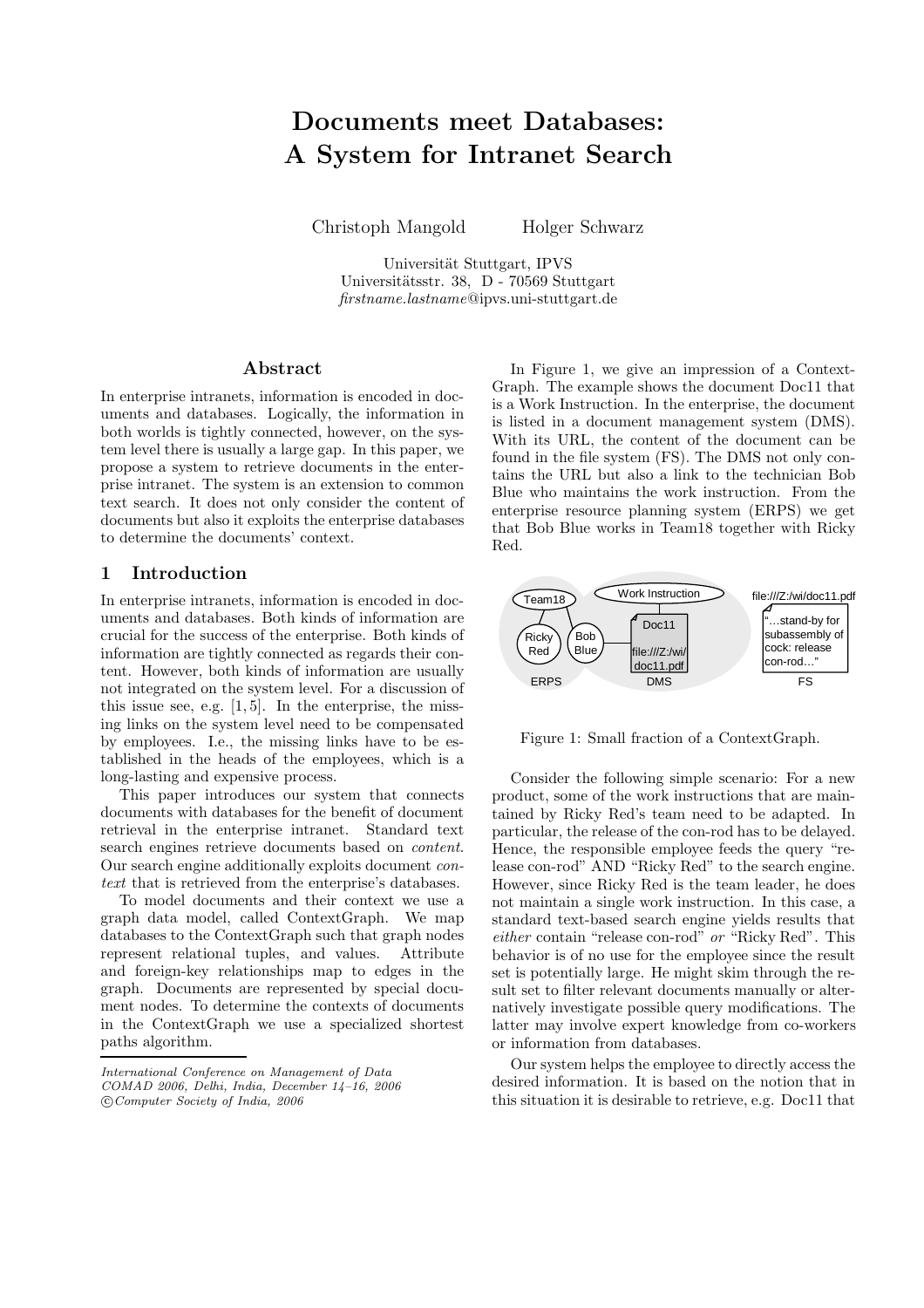# Documents meet Databases: A System for Intranet Search

Christoph Mangold Holger Schwarz

Universität Stuttgart, IPVS Universitätsstr. 38, D - 70569 Stuttgart firstname.lastname@ipvs.uni-stuttgart.de

## Abstract

In enterprise intranets, information is encoded in documents and databases. Logically, the information in both worlds is tightly connected, however, on the system level there is usually a large gap. In this paper, we propose a system to retrieve documents in the enterprise intranet. The system is an extension to common text search. It does not only consider the content of documents but also it exploits the enterprise databases to determine the documents' context.

## 1 Introduction

In enterprise intranets, information is encoded in documents and databases. Both kinds of information are crucial for the success of the enterprise. Both kinds of information are tightly connected as regards their content. However, both kinds of information are usually not integrated on the system level. For a discussion of this issue see, e.g.  $[1, 5]$ . In the enterprise, the missing links on the system level need to be compensated by employees. I.e., the missing links have to be established in the heads of the employees, which is a long-lasting and expensive process.

This paper introduces our system that connects documents with databases for the benefit of document retrieval in the enterprise intranet. Standard text search engines retrieve documents based on content. Our search engine additionally exploits document context that is retrieved from the enterprise's databases.

To model documents and their context we use a graph data model, called ContextGraph. We map databases to the ContextGraph such that graph nodes represent relational tuples, and values. Attribute and foreign-key relationships map to edges in the graph. Documents are represented by special document nodes. To determine the contexts of documents in the ContextGraph we use a specialized shortest paths algorithm.

In Figure 1, we give an impression of a Context-Graph. The example shows the document Doc11 that is a Work Instruction. In the enterprise, the document is listed in a document management system (DMS). With its URL, the content of the document can be found in the file system (FS). The DMS not only contains the URL but also a link to the technician Bob Blue who maintains the work instruction. From the enterprise resource planning system (ERPS) we get that Bob Blue works in Team18 together with Ricky Red.



Figure 1: Small fraction of a ContextGraph.

Consider the following simple scenario: For a new product, some of the work instructions that are maintained by Ricky Red's team need to be adapted. In particular, the release of the con-rod has to be delayed. Hence, the responsible employee feeds the query "release con-rod" AND "Ricky Red" to the search engine. However, since Ricky Red is the team leader, he does not maintain a single work instruction. In this case, a standard text-based search engine yields results that either contain "release con-rod" or "Ricky Red". This behavior is of no use for the employee since the result set is potentially large. He might skim through the result set to filter relevant documents manually or alternatively investigate possible query modifications. The latter may involve expert knowledge from co-workers or information from databases.

Our system helps the employee to directly access the desired information. It is based on the notion that in this situation it is desirable to retrieve, e.g. Doc11 that

International Conference on Management of Data COMAD 2006, Delhi, India, December 14–16, 2006 c Computer Society of India, 2006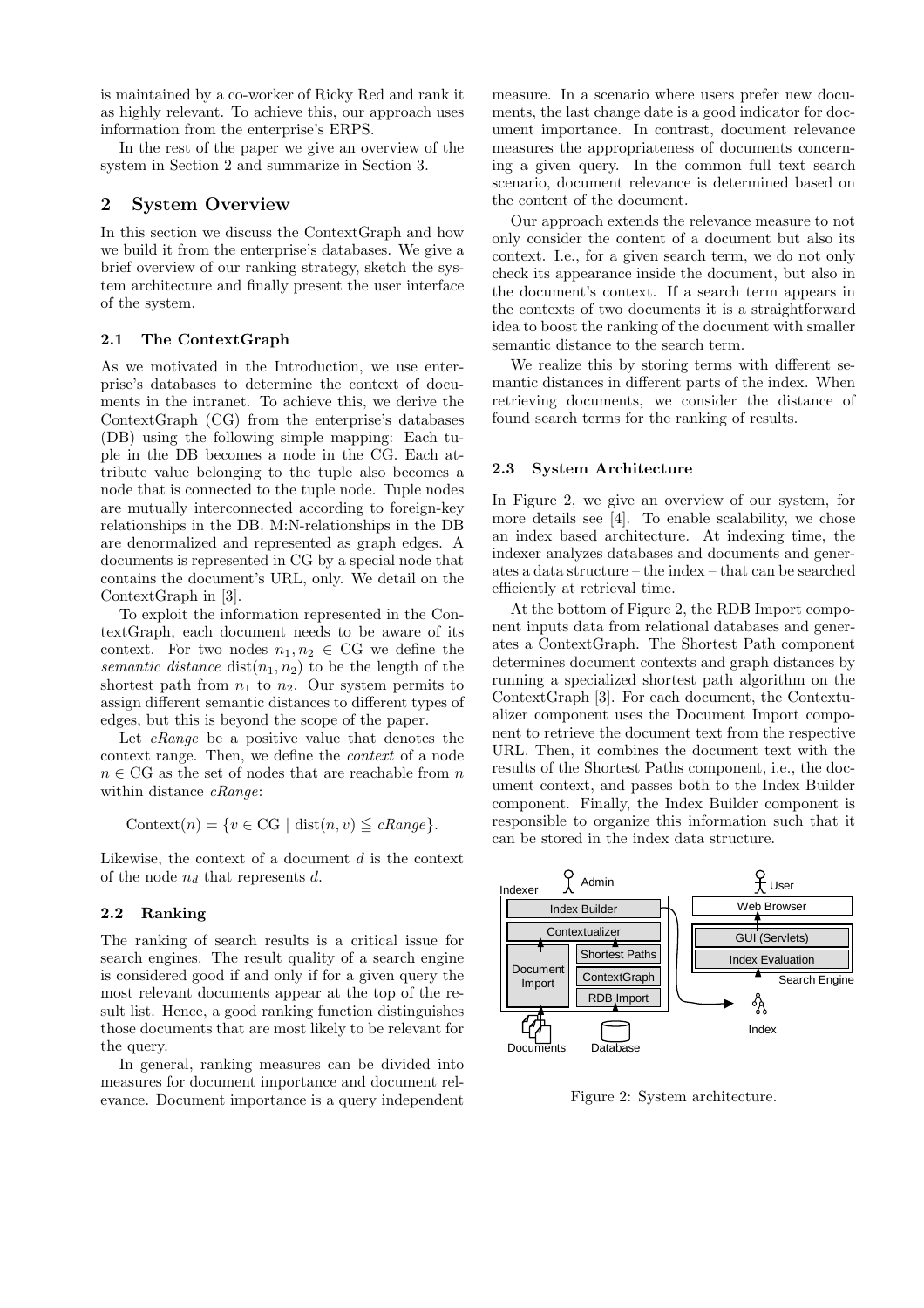is maintained by a co-worker of Ricky Red and rank it as highly relevant. To achieve this, our approach uses information from the enterprise's ERPS.

In the rest of the paper we give an overview of the system in Section 2 and summarize in Section 3.

## 2 System Overview

In this section we discuss the ContextGraph and how we build it from the enterprise's databases. We give a brief overview of our ranking strategy, sketch the system architecture and finally present the user interface of the system.

#### 2.1 The ContextGraph

As we motivated in the Introduction, we use enterprise's databases to determine the context of documents in the intranet. To achieve this, we derive the ContextGraph (CG) from the enterprise's databases (DB) using the following simple mapping: Each tuple in the DB becomes a node in the CG. Each attribute value belonging to the tuple also becomes a node that is connected to the tuple node. Tuple nodes are mutually interconnected according to foreign-key relationships in the DB. M:N-relationships in the DB are denormalized and represented as graph edges. A documents is represented in CG by a special node that contains the document's URL, only. We detail on the ContextGraph in [3].

To exploit the information represented in the ContextGraph, each document needs to be aware of its context. For two nodes  $n_1, n_2 \in \mathbb{C} \mathbb{G}$  we define the semantic distance  $dist(n_1, n_2)$  to be the length of the shortest path from  $n_1$  to  $n_2$ . Our system permits to assign different semantic distances to different types of edges, but this is beyond the scope of the paper.

Let *cRange* be a positive value that denotes the context range. Then, we define the context of a node  $n \in \text{CG}$  as the set of nodes that are reachable from  $n$ within distance *cRange*:

$$
Context(n) = \{ v \in CG \mid dist(n, v) \leq cRange \}.
$$

Likewise, the context of a document  $d$  is the context of the node  $n_d$  that represents d.

#### 2.2 Ranking

The ranking of search results is a critical issue for search engines. The result quality of a search engine is considered good if and only if for a given query the most relevant documents appear at the top of the result list. Hence, a good ranking function distinguishes those documents that are most likely to be relevant for the query.

In general, ranking measures can be divided into measures for document importance and document relevance. Document importance is a query independent

measure. In a scenario where users prefer new documents, the last change date is a good indicator for document importance. In contrast, document relevance measures the appropriateness of documents concerning a given query. In the common full text search scenario, document relevance is determined based on the content of the document.

Our approach extends the relevance measure to not only consider the content of a document but also its context. I.e., for a given search term, we do not only check its appearance inside the document, but also in the document's context. If a search term appears in the contexts of two documents it is a straightforward idea to boost the ranking of the document with smaller semantic distance to the search term.

We realize this by storing terms with different semantic distances in different parts of the index. When retrieving documents, we consider the distance of found search terms for the ranking of results.

#### 2.3 System Architecture

In Figure 2, we give an overview of our system, for more details see [4]. To enable scalability, we chose an index based architecture. At indexing time, the indexer analyzes databases and documents and generates a data structure – the index – that can be searched efficiently at retrieval time.

At the bottom of Figure 2, the RDB Import component inputs data from relational databases and generates a ContextGraph. The Shortest Path component determines document contexts and graph distances by running a specialized shortest path algorithm on the ContextGraph [3]. For each document, the Contextualizer component uses the Document Import component to retrieve the document text from the respective URL. Then, it combines the document text with the results of the Shortest Paths component, i.e., the document context, and passes both to the Index Builder component. Finally, the Index Builder component is responsible to organize this information such that it can be stored in the index data structure.



Figure 2: System architecture.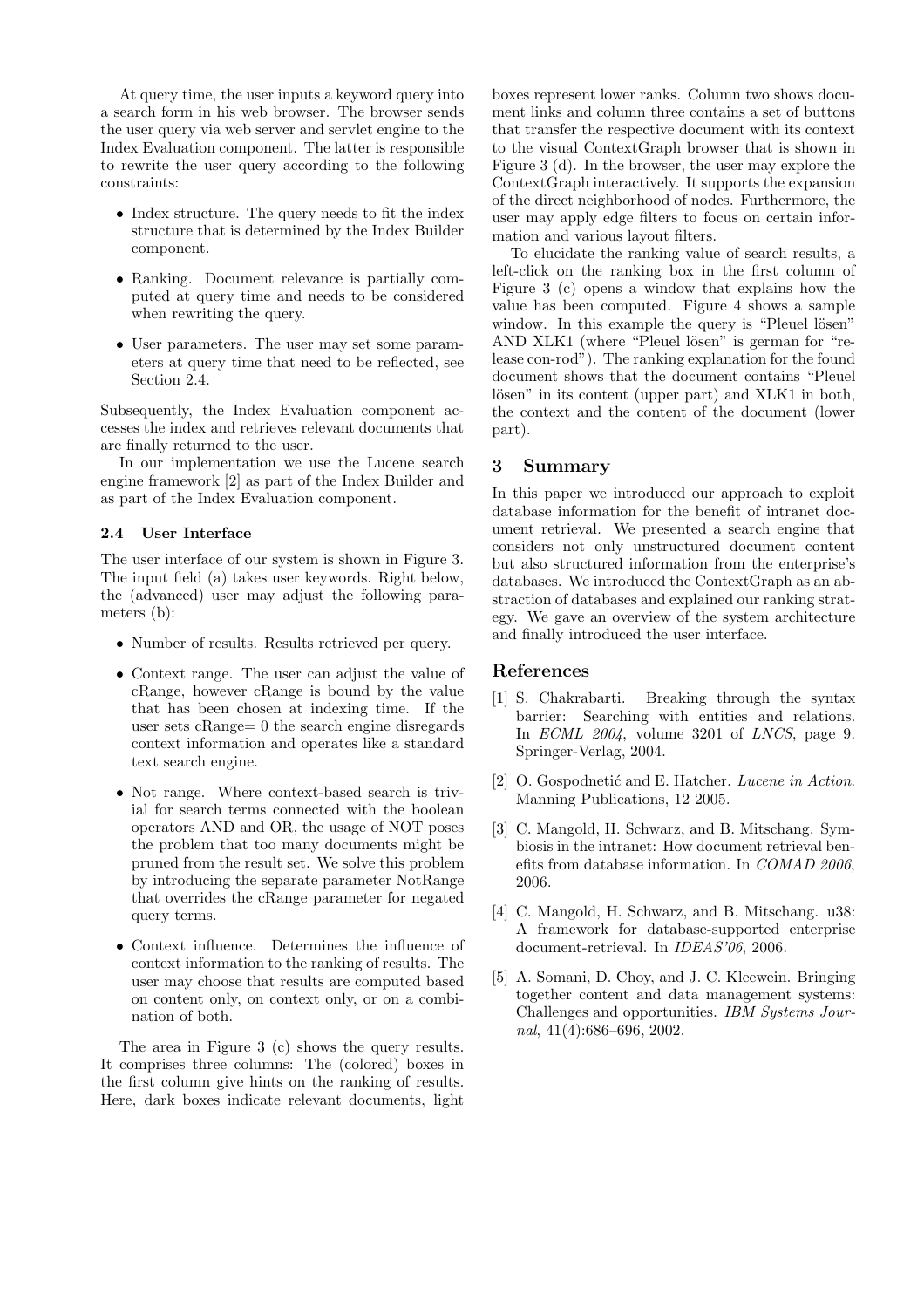At query time, the user inputs a keyword query into a search form in his web browser. The browser sends the user query via web server and servlet engine to the Index Evaluation component. The latter is responsible to rewrite the user query according to the following constraints:

- Index structure. The query needs to fit the index structure that is determined by the Index Builder component.
- Ranking. Document relevance is partially computed at query time and needs to be considered when rewriting the query.
- User parameters. The user may set some parameters at query time that need to be reflected, see Section 2.4.

Subsequently, the Index Evaluation component accesses the index and retrieves relevant documents that are finally returned to the user.

In our implementation we use the Lucene search engine framework [2] as part of the Index Builder and as part of the Index Evaluation component.

### 2.4 User Interface

The user interface of our system is shown in Figure 3. The input field (a) takes user keywords. Right below, the (advanced) user may adjust the following parameters (b):

- Number of results. Results retrieved per query.
- Context range. The user can adjust the value of cRange, however cRange is bound by the value that has been chosen at indexing time. If the user sets cRange= 0 the search engine disregards context information and operates like a standard text search engine.
- Not range. Where context-based search is trivial for search terms connected with the boolean operators AND and OR, the usage of NOT poses the problem that too many documents might be pruned from the result set. We solve this problem by introducing the separate parameter NotRange that overrides the cRange parameter for negated query terms.
- Context influence. Determines the influence of context information to the ranking of results. The user may choose that results are computed based on content only, on context only, or on a combination of both.

The area in Figure 3 (c) shows the query results. It comprises three columns: The (colored) boxes in the first column give hints on the ranking of results. Here, dark boxes indicate relevant documents, light

boxes represent lower ranks. Column two shows document links and column three contains a set of buttons that transfer the respective document with its context to the visual ContextGraph browser that is shown in Figure 3 (d). In the browser, the user may explore the ContextGraph interactively. It supports the expansion of the direct neighborhood of nodes. Furthermore, the user may apply edge filters to focus on certain information and various layout filters.

To elucidate the ranking value of search results, a left-click on the ranking box in the first column of Figure 3 (c) opens a window that explains how the value has been computed. Figure 4 shows a sample window. In this example the query is "Pleuel lösen" AND XLK1 (where "Pleuel lösen" is german for "release con-rod"). The ranking explanation for the found document shows that the document contains "Pleuel lösen" in its content (upper part) and XLK1 in both, the context and the content of the document (lower part).

## 3 Summary

In this paper we introduced our approach to exploit database information for the benefit of intranet document retrieval. We presented a search engine that considers not only unstructured document content but also structured information from the enterprise's databases. We introduced the ContextGraph as an abstraction of databases and explained our ranking strategy. We gave an overview of the system architecture and finally introduced the user interface.

## References

- [1] S. Chakrabarti. Breaking through the syntax barrier: Searching with entities and relations. In ECML 2004, volume 3201 of LNCS, page 9. Springer-Verlag, 2004.
- [2] O. Gospodnetić and E. Hatcher. Lucene in Action. Manning Publications, 12 2005.
- [3] C. Mangold, H. Schwarz, and B. Mitschang. Symbiosis in the intranet: How document retrieval benefits from database information. In COMAD 2006, 2006.
- [4] C. Mangold, H. Schwarz, and B. Mitschang. u38: A framework for database-supported enterprise document-retrieval. In IDEAS'06, 2006.
- [5] A. Somani, D. Choy, and J. C. Kleewein. Bringing together content and data management systems: Challenges and opportunities. IBM Systems Journal, 41(4):686–696, 2002.